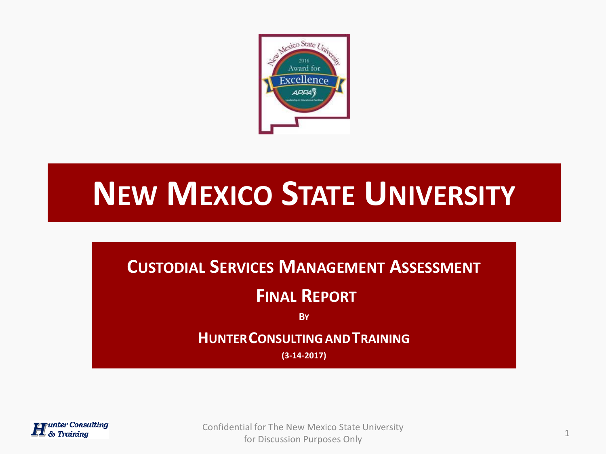

# **NEW MEXICO STATE UNIVERSITY**

# **CUSTODIAL SERVICES MANAGEMENT ASSESSMENT**

# **FINAL REPORT**

**BY**

# **HUNTERCONSULTINGANDTRAINING**

**(3-14-2017)**



Confidential for The New Mexico State University for Discussion Purposes Only 1 and 1 and 1 and 1 and 1 and 1 and 1 and 1 and 1 and 1 and 1 and 1 and 1 and 1 and 1 and 1 and 1 and 1 and 1 and 1 and 1 and 1 and 1 and 1 and 1 and 1 and 1 and 1 and 1 and 1 and 1 and 1 and 1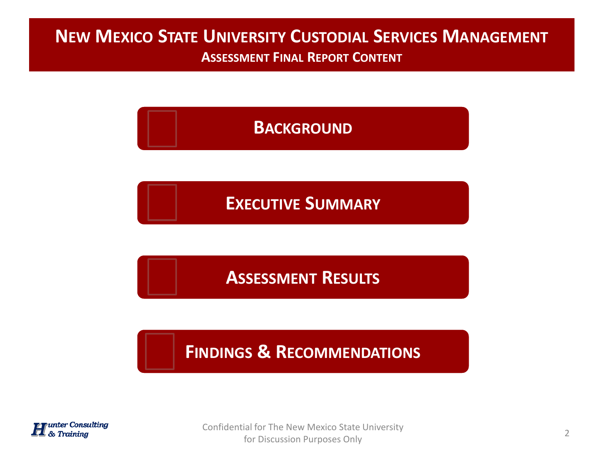#### **NEW MEXICO STATE UNIVERSITY CUSTODIAL SERVICES MANAGEMENT ASSESSMENT FINAL REPORT CONTENT**

# **B[ACKGROUND](#page-3-0)**

**EXECUTIVE S[UMMARY](#page-3-0)**

**A[SSESSMENT](#page-3-0) RESULTS**

**FINDINGS & R[ECOMMENDATIONS](#page-3-0)**



Confidential for The New Mexico State University for Discussion Purposes Only 2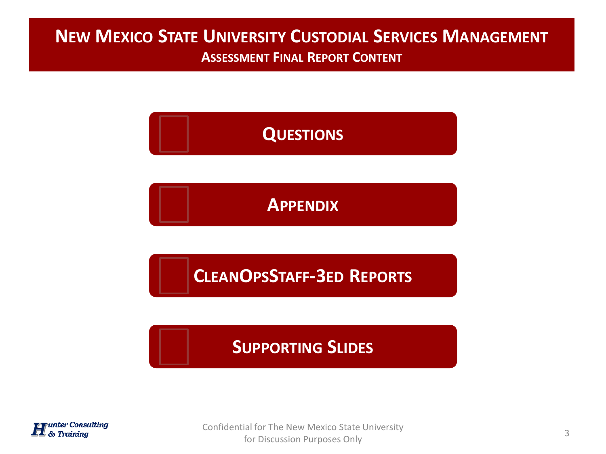# **NEW MEXICO STATE UNIVERSITY CUSTODIAL SERVICES MANAGEMENT**

**ASSESSMENT FINAL REPORT CONTENT**

# **Q[UESTIONS](#page-3-0)**

**A[PPENDIX](#page-3-0)**

**CLEANOPSSTAFF-3ED R[EPORTS](#page-3-0)**

**S[UPPORTING](#page-3-0) SLIDES**



Confidential for The New Mexico State University for Discussion Purposes Only 3<br>for Discussion Purposes Only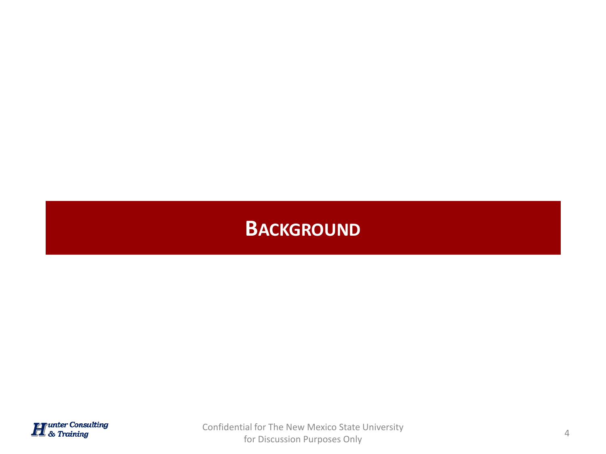<span id="page-3-0"></span>

Confidential for The New Mexico State University for Discussion Purposes Only 4 and 200 mixed by the University of the Discussion Purposes Only 4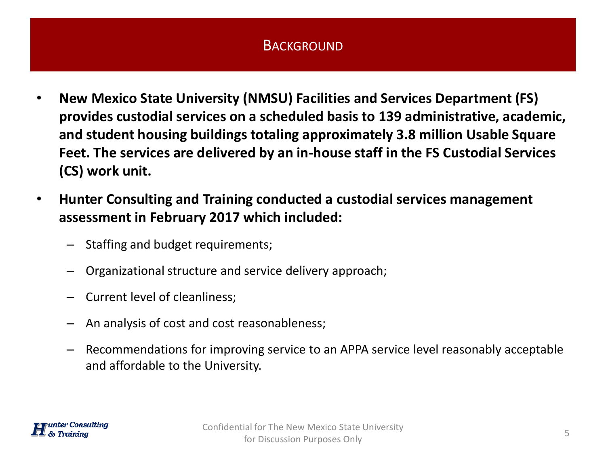- **New Mexico State University (NMSU) Facilities and Services Department (FS) provides custodial services on a scheduled basis to 139 administrative, academic, and student housing buildings totaling approximately 3.8 million Usable Square Feet. The services are delivered by an in-house staff in the FS Custodial Services (CS) work unit.**
- **Hunter Consulting and Training conducted a custodial services management assessment in February 2017 which included:**
	- Staffing and budget requirements;
	- Organizational structure and service delivery approach;
	- Current level of cleanliness;
	- An analysis of cost and cost reasonableness;
	- Recommendations for improving service to an APPA service level reasonably acceptable and affordable to the University.

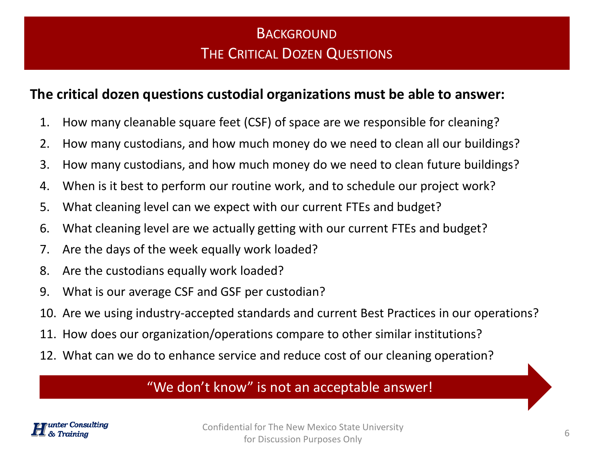## **BACKGROUND** THE CRITICAL DOZEN QUESTIONS

#### **The critical dozen questions custodial organizations must be able to answer:**

- 1. How many cleanable square feet (CSF) of space are we responsible for cleaning?
- 2. How many custodians, and how much money do we need to clean all our buildings?
- 3. How many custodians, and how much money do we need to clean future buildings?
- 4. When is it best to perform our routine work, and to schedule our project work?
- 5. What cleaning level can we expect with our current FTEs and budget?
- 6. What cleaning level are we actually getting with our current FTEs and budget?
- 7. Are the days of the week equally work loaded?
- 8. Are the custodians equally work loaded?
- 9. What is our average CSF and GSF per custodian?
- 10. Are we using industry-accepted standards and current Best Practices in our operations?
- 11. How does our organization/operations compare to other similar institutions?
- 12. What can we do to enhance service and reduce cost of our cleaning operation?

#### "We don't know" is not an acceptable answer!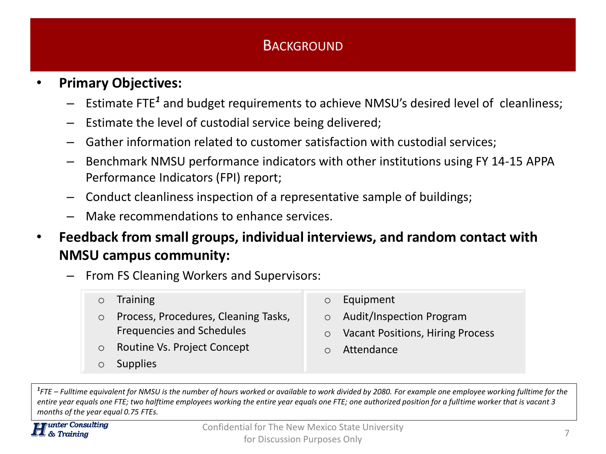#### • **Primary Objectives:**

- Estimate FTE*<sup>1</sup>* and budget requirements to achieve NMSU's desired level of cleanliness;
- Estimate the level of custodial service being delivered;
- Gather information related to customer satisfaction with custodial services;
- Benchmark NMSU performance indicators with other institutions using FY 14-15 APPA Performance Indicators (FPI) report;
- Conduct cleanliness inspection of a representative sample of buildings;
- Make recommendations to enhance services.
- **Feedback from small groups, individual interviews, and random contact with NMSU campus community:**

– From FS Cleaning Workers and Supervisors:

- o Training
- o Process, Procedures, Cleaning Tasks, Frequencies and Schedules
- o Routine Vs. Project Concept
- o Supplies
- o Equipment
- o Audit/Inspection Program
- o Vacant Positions, Hiring Process
- o Attendance

*1 FTE – Fulltime equivalent for NMSU is the number of hours worked or available to work divided by 2080. For example one employee working fulltime for the entire year equals one FTE; two halftime employees working the entire year equals one FTE; one authorized position for a fulltime worker that is vacant 3 months of the year equal 0.75 FTEs.*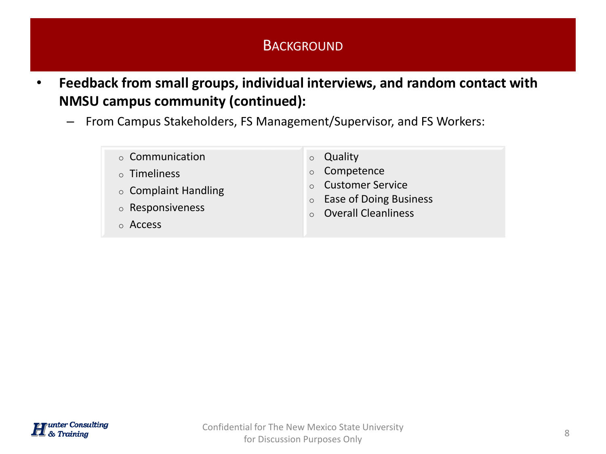- **Feedback from small groups, individual interviews, and random contact with NMSU campus community (continued):**
	- From Campus Stakeholders, FS Management/Supervisor, and FS Workers:
		- o Communication
		- o Timeliness
		- o Complaint Handling
		- o Responsiveness
		- o Access
- o Quality
- o Competence
- o Customer Service
- o Ease of Doing Business
- o Overall Cleanliness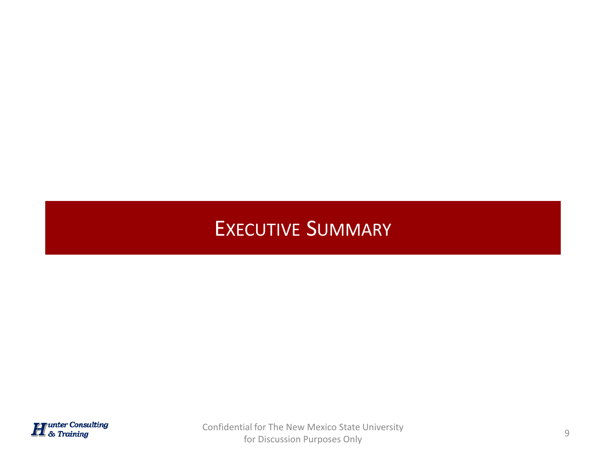# EXECUTIVE SUMMARY



Confidential for The New Mexico State University for Discussion Purposes Only 9 and 200 mixed by the University of the Discussion Purposes Only 9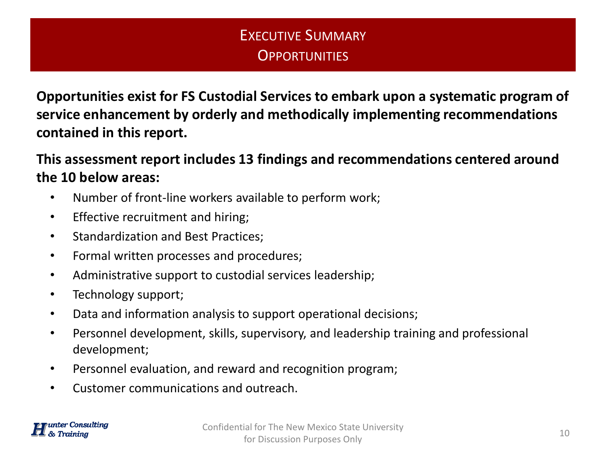## EXECUTIVE SUMMARY **OPPORTUNITIES**

**Opportunities exist for FS Custodial Services to embark upon a systematic program of service enhancement by orderly and methodically implementing recommendations contained in this report.**

**This assessment report includes 13 findings and recommendations centered around the 10 below areas:**

- Number of front-line workers available to perform work;
- Effective recruitment and hiring;
- Standardization and Best Practices;
- Formal written processes and procedures;
- Administrative support to custodial services leadership;
- Technology support;
- Data and information analysis to support operational decisions;
- Personnel development, skills, supervisory, and leadership training and professional development;
- Personnel evaluation, and reward and recognition program;
- Customer communications and outreach.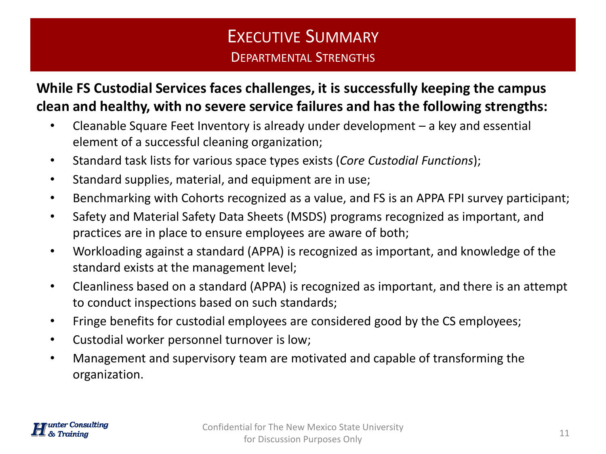# EXECUTIVE SUMMARY DEPARTMENTAL STRENGTHS

**While FS Custodial Services faces challenges, it is successfully keeping the campus clean and healthy, with no severe service failures and has the following strengths:**

- Cleanable Square Feet Inventory is already under development a key and essential element of a successful cleaning organization;
- Standard task lists for various space types exists (*Core Custodial Functions*);
- Standard supplies, material, and equipment are in use;
- Benchmarking with Cohorts recognized as a value, and FS is an APPA FPI survey participant;
- Safety and Material Safety Data Sheets (MSDS) programs recognized as important, and practices are in place to ensure employees are aware of both;
- Workloading against a standard (APPA) is recognized as important, and knowledge of the standard exists at the management level;
- Cleanliness based on a standard (APPA) is recognized as important, and there is an attempt to conduct inspections based on such standards;
- Fringe benefits for custodial employees are considered good by the CS employees;
- Custodial worker personnel turnover is low;
- Management and supervisory team are motivated and capable of transforming the organization.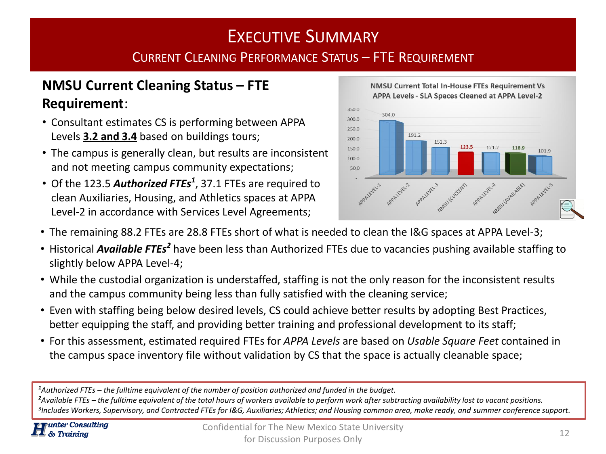# EXECUTIVE SUMMARY

#### CURRENT CLEANING PERFORMANCE STATUS – FTE REQUIREMENT

#### **NMSU Current Cleaning Status – FTE Requirement**:

- Consultant estimates CS is performing between APPA Levels **3.2 and 3.4** based on buildings tours;
- The campus is generally clean, but results are inconsistent and not meeting campus community expectations;
- Of the 123.5 *Authorized FTEs<sup>1</sup>* , 37.1 FTEs are required to clean Auxiliaries, Housing, and Athletics spaces at APPA Level-2 in accordance with Services Level Agreements;





- The remaining 88.2 FTEs are 28.8 FTEs short of what is needed to clean the I&G spaces at APPA Level-3;
- **•** Historical Available FTEs<sup>2</sup> have been less than Authorized FTEs due to vacancies pushing available staffing to slightly below APPA Level-4;
- While the custodial organization is understaffed, staffing is not the only reason for the inconsistent results and the campus community being less than fully satisfied with the cleaning service;
- Even with staffing being below desired levels, CS could achieve better results by adopting Best Practices, better equipping the staff, and providing better training and professional development to its staff;
- For this assessment, estimated required FTEs for *APPA Levels* are based on *Usable Square Feet* contained in the campus space inventory file without validation by CS that the space is actually cleanable space;

*<sup>1</sup>Authorized FTEs – the fulltime equivalent of the number of position authorized and funded in the budget.*

*<sup>2</sup>Available FTEs – the fulltime equivalent of the total hours of workers available to perform work after subtracting availability lost to vacant positions. 3 Includes Workers, Supervisory, and Contracted FTEs for I&G, Auxiliaries; Athletics; and Housing common area, make ready, and summer conference support.*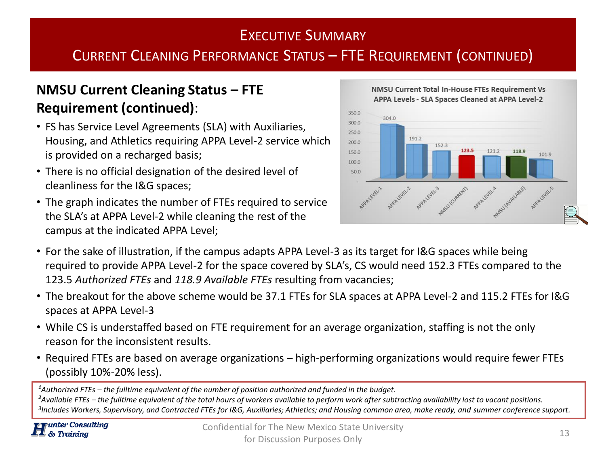#### EXECUTIVE SUMMARY

## CURRENT CLEANING PERFORMANCE STATUS – FTE REQUIREMENT (CONTINUED)

#### **NMSU Current Cleaning Status – FTE Requirement (continued)**:

- FS has Service Level Agreements (SLA) with Auxiliaries, Housing, and Athletics requiring APPA Level-2 service which is provided on a recharged basis;
- There is no official designation of the desired level of cleanliness for the I&G spaces;
- The graph indicates the number of FTEs required to service the SLA's at APPA Level-2 while cleaning the rest of the campus at the indicated APPA Level;



# NMSU Current Total In-House FTEs Requirement Vs

- For the sake of illustration, if the campus adapts APPA Level-3 as its target for I&G spaces while being required to provide APPA Level-2 for the space covered by SLA's, CS would need 152.3 FTEs compared to the 123.5 *Authorized FTEs* and *118.9 Available FTEs* resulting from vacancies;
- The breakout for the above scheme would be 37.1 FTEs for SLA spaces at APPA Level-2 and 115.2 FTEs for I&G spaces at APPA Level-3
- While CS is understaffed based on FTE requirement for an average organization, staffing is not the only reason for the inconsistent results.
- Required FTEs are based on average organizations high-performing organizations would require fewer FTEs (possibly 10%-20% less).

*<sup>1</sup>Authorized FTEs – the fulltime equivalent of the number of position authorized and funded in the budget.*

*<sup>2</sup>Available FTEs – the fulltime equivalent of the total hours of workers available to perform work after subtracting availability lost to vacant positions. 3 Includes Workers, Supervisory, and Contracted FTEs for I&G, Auxiliaries; Athletics; and Housing common area, make ready, and summer conference support.*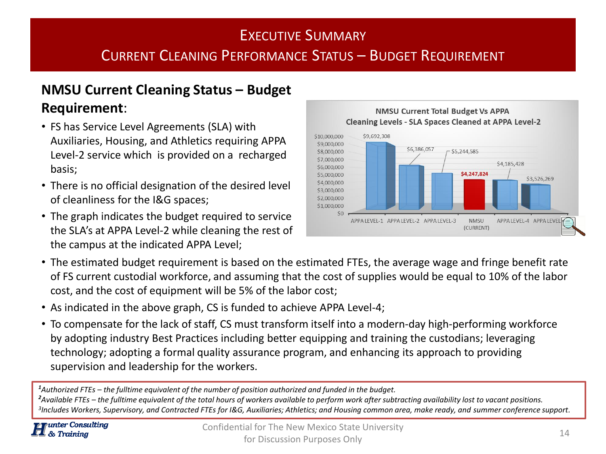# EXECUTIVE SUMMARY CURRENT CLEANING PERFORMANCE STATUS – BUDGET REQUIREMENT

#### **NMSU Current Cleaning Status – Budget Requirement**:

- FS has Service Level Agreements (SLA) with Auxiliaries, Housing, and Athletics requiring APPA Level-2 service which is provided on a recharged basis;
- There is no official designation of the desired level of cleanliness for the I&G spaces;
- The graph indicates the budget required to service the SLA's at APPA Level-2 while cleaning the rest of the campus at the indicated APPA Level;



- The estimated budget requirement is based on the estimated FTEs, the average wage and fringe benefit rate of FS current custodial workforce, and assuming that the cost of supplies would be equal to 10% of the labor cost, and the cost of equipment will be 5% of the labor cost;
- As indicated in the above graph, CS is funded to achieve APPA Level-4;
- To compensate for the lack of staff, CS must transform itself into a modern-day high-performing workforce by adopting industry Best Practices including better equipping and training the custodians; leveraging technology; adopting a formal quality assurance program, and enhancing its approach to providing supervision and leadership for the workers.

*<sup>1</sup>Authorized FTEs – the fulltime equivalent of the number of position authorized and funded in the budget.*

*<sup>2</sup>Available FTEs – the fulltime equivalent of the total hours of workers available to perform work after subtracting availability lost to vacant positions. 3 Includes Workers, Supervisory, and Contracted FTEs for I&G, Auxiliaries; Athletics; and Housing common area, make ready, and summer conference support.*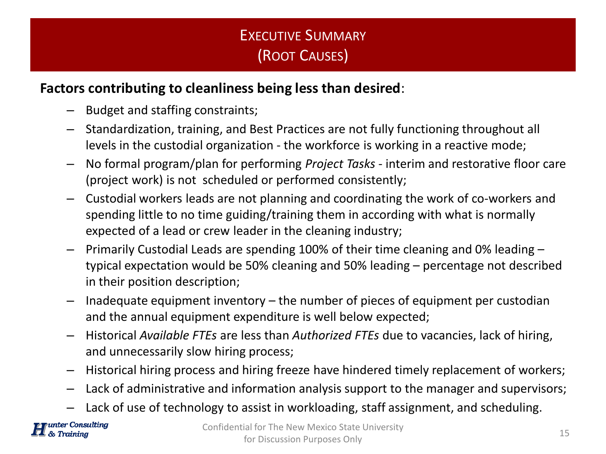# EXECUTIVE SUMMARY (ROOT CAUSES)

#### **Factors contributing to cleanliness being less than desired**:

- Budget and staffing constraints;
- Standardization, training, and Best Practices are not fully functioning throughout all levels in the custodial organization - the workforce is working in a reactive mode;
- No formal program/plan for performing *Project Tasks*  interim and restorative floor care (project work) is not scheduled or performed consistently;
- Custodial workers leads are not planning and coordinating the work of co-workers and spending little to no time guiding/training them in according with what is normally expected of a lead or crew leader in the cleaning industry;
- Primarily Custodial Leads are spending 100% of their time cleaning and 0% leading typical expectation would be 50% cleaning and 50% leading – percentage not described in their position description;
- Inadequate equipment inventory the number of pieces of equipment per custodian and the annual equipment expenditure is well below expected;
- Historical *Available FTEs* are less than *Authorized FTEs* due to vacancies, lack of hiring, and unnecessarily slow hiring process;
- Historical hiring process and hiring freeze have hindered timely replacement of workers;
- Lack of administrative and information analysis support to the manager and supervisors;
- Lack of use of technology to assist in workloading, staff assignment, and scheduling.

nter Consulting **Training**